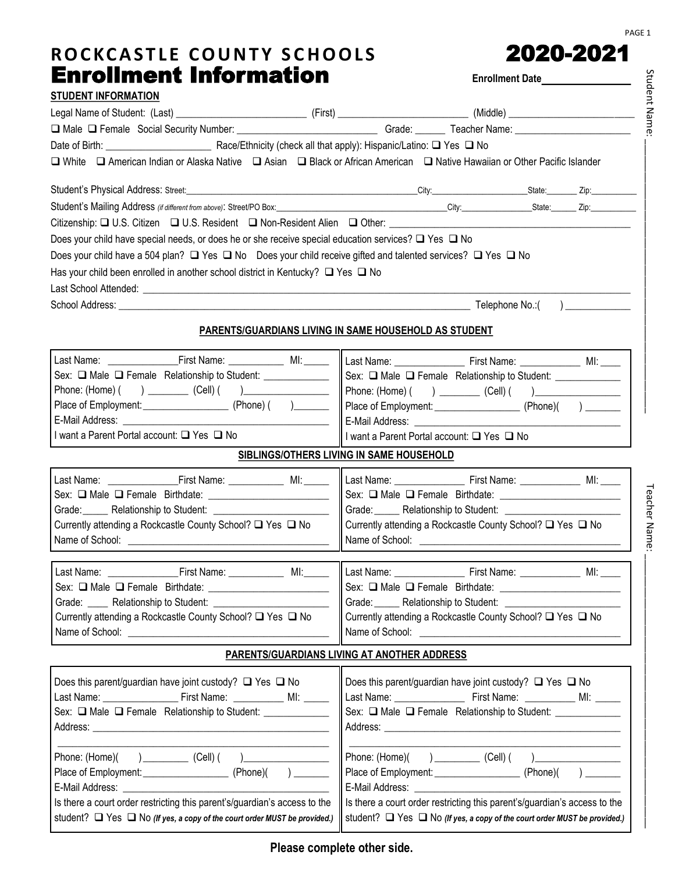-2021 PAGE 1

| ROCKCASTLE COUNTY SCHOOLS                                                                                                        |                                                              |                                                                        | 2020-2021              |  |  |
|----------------------------------------------------------------------------------------------------------------------------------|--------------------------------------------------------------|------------------------------------------------------------------------|------------------------|--|--|
| <b>Enrollment Information</b>                                                                                                    |                                                              |                                                                        |                        |  |  |
| <b>STUDENT INFORMATION</b>                                                                                                       |                                                              |                                                                        |                        |  |  |
|                                                                                                                                  |                                                              |                                                                        |                        |  |  |
|                                                                                                                                  |                                                              |                                                                        |                        |  |  |
|                                                                                                                                  |                                                              |                                                                        |                        |  |  |
| □ White □ American Indian or Alaska Native □ Asian □ Black or African American □ Native Hawaiian or Other Pacific Islander       |                                                              |                                                                        |                        |  |  |
|                                                                                                                                  |                                                              |                                                                        |                        |  |  |
| Student's Mailing Address (if different from above): Street/PO Box: City: City: City: State: Zip: Zip: Zip:                      |                                                              |                                                                        |                        |  |  |
|                                                                                                                                  |                                                              |                                                                        |                        |  |  |
| Does your child have special needs, or does he or she receive special education services? $\Box$ Yes $\Box$ No                   |                                                              |                                                                        |                        |  |  |
| Does your child have a 504 plan? $\Box$ Yes $\Box$ No Does your child receive gifted and talented services? $\Box$ Yes $\Box$ No |                                                              |                                                                        |                        |  |  |
| Has your child been enrolled in another school district in Kentucky? $\Box$ Yes $\Box$ No                                        |                                                              |                                                                        |                        |  |  |
|                                                                                                                                  |                                                              |                                                                        |                        |  |  |
|                                                                                                                                  |                                                              |                                                                        |                        |  |  |
|                                                                                                                                  | <b>PARENTS/GUARDIANS LIVING IN SAME HOUSEHOLD AS STUDENT</b> |                                                                        |                        |  |  |
|                                                                                                                                  |                                                              |                                                                        |                        |  |  |
| Sex: □ Male □ Female Relationship to Student: _____________                                                                      |                                                              | Sex: $\Box$ Male $\Box$ Female Relationship to Student: ______________ |                        |  |  |
|                                                                                                                                  |                                                              |                                                                        |                        |  |  |
|                                                                                                                                  |                                                              |                                                                        |                        |  |  |
|                                                                                                                                  |                                                              |                                                                        |                        |  |  |
| I want a Parent Portal account: □ Yes □ No                                                                                       |                                                              | If I want a Parent Portal account: $\Box$ Yes $\Box$ No                |                        |  |  |
|                                                                                                                                  | SIBLINGS/OTHERS LIVING IN SAME HOUSEHOLD                     |                                                                        |                        |  |  |
|                                                                                                                                  |                                                              |                                                                        |                        |  |  |
|                                                                                                                                  |                                                              |                                                                        |                        |  |  |
|                                                                                                                                  |                                                              |                                                                        |                        |  |  |
| Currently attending a Rockcastle County School? □ Yes □ No                                                                       |                                                              | Currently attending a Rockcastle County School? □ Yes □ No             |                        |  |  |
| Name of School: Name of School:                                                                                                  |                                                              |                                                                        |                        |  |  |
|                                                                                                                                  |                                                              |                                                                        |                        |  |  |
|                                                                                                                                  |                                                              |                                                                        |                        |  |  |
|                                                                                                                                  |                                                              |                                                                        |                        |  |  |
| Currently attending a Rockcastle County School? □ Yes □ No                                                                       |                                                              | Currently attending a Rockcastle County School? □ Yes □ No             |                        |  |  |
|                                                                                                                                  |                                                              |                                                                        |                        |  |  |
|                                                                                                                                  | PARENTS/GUARDIANS LIVING AT ANOTHER ADDRESS                  |                                                                        |                        |  |  |
| Does this parent/guardian have joint custody? $\Box$ Yes $\Box$ No                                                               |                                                              | Does this parent/guardian have joint custody? $\Box$ Yes $\Box$ No     |                        |  |  |
|                                                                                                                                  |                                                              |                                                                        |                        |  |  |
| Sex: ■ Male ■ Female Relationship to Student: _____________                                                                      |                                                              | Sex: □ Male □ Female Relationship to Student: ____________             |                        |  |  |
|                                                                                                                                  |                                                              |                                                                        |                        |  |  |
|                                                                                                                                  |                                                              |                                                                        |                        |  |  |
|                                                                                                                                  |                                                              |                                                                        | $(Phone)( )$ $ )$ $ )$ |  |  |

E-Mail Address: Is there a court order restricting this parent's/guardian's access to the student?  $\Box$  Yes  $\Box$  No *(If yes, a copy of the court order MUST be provided.)* E-Mail Address: Is there a court order restricting this parent's/guardian's access to the student?  $\Box$  Yes  $\Box$  No *(If yes, a copy of the court order MUST be provided.)*  Student Name: \_\_\_\_\_\_\_\_\_\_\_\_\_\_\_\_\_\_\_\_\_\_\_\_\_\_\_\_\_\_\_\_\_\_\_\_\_\_\_\_\_\_\_\_\_\_\_\_\_\_

Student Name: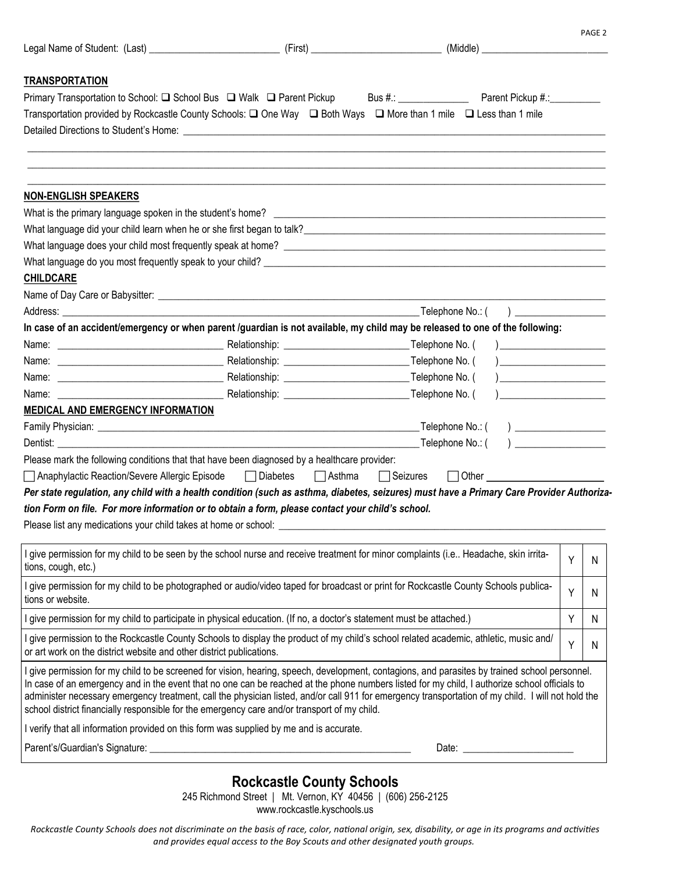|                                                                                                                                                                                                                                                                                                                                                                                                                                                                                                                                                       |               | (Middle) ________________________    |                                                             |   |   |
|-------------------------------------------------------------------------------------------------------------------------------------------------------------------------------------------------------------------------------------------------------------------------------------------------------------------------------------------------------------------------------------------------------------------------------------------------------------------------------------------------------------------------------------------------------|---------------|--------------------------------------|-------------------------------------------------------------|---|---|
|                                                                                                                                                                                                                                                                                                                                                                                                                                                                                                                                                       |               |                                      |                                                             |   |   |
| <b>TRANSPORTATION</b><br>Primary Transportation to School: □ School Bus □ Walk □ Parent Pickup                                                                                                                                                                                                                                                                                                                                                                                                                                                        |               | Bus #.: Parent Pickup #.:            |                                                             |   |   |
| Transportation provided by Rockcastle County Schools: □ One Way □ Both Ways □ More than 1 mile □ Less than 1 mile                                                                                                                                                                                                                                                                                                                                                                                                                                     |               |                                      |                                                             |   |   |
|                                                                                                                                                                                                                                                                                                                                                                                                                                                                                                                                                       |               |                                      |                                                             |   |   |
|                                                                                                                                                                                                                                                                                                                                                                                                                                                                                                                                                       |               |                                      |                                                             |   |   |
|                                                                                                                                                                                                                                                                                                                                                                                                                                                                                                                                                       |               |                                      |                                                             |   |   |
| <b>NON-ENGLISH SPEAKERS</b>                                                                                                                                                                                                                                                                                                                                                                                                                                                                                                                           |               |                                      |                                                             |   |   |
|                                                                                                                                                                                                                                                                                                                                                                                                                                                                                                                                                       |               |                                      |                                                             |   |   |
| What language did your child learn when he or she first began to talk?<br>What language did your child learn when he or she first began to talk?                                                                                                                                                                                                                                                                                                                                                                                                      |               |                                      |                                                             |   |   |
|                                                                                                                                                                                                                                                                                                                                                                                                                                                                                                                                                       |               |                                      |                                                             |   |   |
|                                                                                                                                                                                                                                                                                                                                                                                                                                                                                                                                                       |               |                                      |                                                             |   |   |
| <b>CHILDCARE</b>                                                                                                                                                                                                                                                                                                                                                                                                                                                                                                                                      |               |                                      |                                                             |   |   |
|                                                                                                                                                                                                                                                                                                                                                                                                                                                                                                                                                       |               |                                      |                                                             |   |   |
|                                                                                                                                                                                                                                                                                                                                                                                                                                                                                                                                                       |               | Telephone No.: (                     | $\overline{a}$                                              |   |   |
| In case of an accident/emergency or when parent /guardian is not available, my child may be released to one of the following:                                                                                                                                                                                                                                                                                                                                                                                                                         |               |                                      |                                                             |   |   |
|                                                                                                                                                                                                                                                                                                                                                                                                                                                                                                                                                       |               |                                      | <u> 1989 - Andrea Station Books, amerikansk politiker (</u> |   |   |
|                                                                                                                                                                                                                                                                                                                                                                                                                                                                                                                                                       |               |                                      |                                                             |   |   |
|                                                                                                                                                                                                                                                                                                                                                                                                                                                                                                                                                       |               |                                      |                                                             |   |   |
| Name:                                                                                                                                                                                                                                                                                                                                                                                                                                                                                                                                                 |               |                                      |                                                             |   |   |
| MEDICAL AND EMERGENCY INFORMATION                                                                                                                                                                                                                                                                                                                                                                                                                                                                                                                     |               |                                      |                                                             |   |   |
|                                                                                                                                                                                                                                                                                                                                                                                                                                                                                                                                                       |               |                                      |                                                             |   |   |
| Dentist: <b>Example</b>                                                                                                                                                                                                                                                                                                                                                                                                                                                                                                                               |               | ____________________Telephone No.: ( |                                                             |   |   |
| Please mark the following conditions that that have been diagnosed by a healthcare provider:                                                                                                                                                                                                                                                                                                                                                                                                                                                          |               |                                      |                                                             |   |   |
| □ Anaphylactic Reaction/Severe Allergic Episode □ Diabetes                                                                                                                                                                                                                                                                                                                                                                                                                                                                                            | $\Box$ Asthma | $\Box$ Seizures                      |                                                             |   |   |
| Per state regulation, any child with a health condition (such as asthma, diabetes, seizures) must have a Primary Care Provider Authoriza-                                                                                                                                                                                                                                                                                                                                                                                                             |               |                                      |                                                             |   |   |
| tion Form on file. For more information or to obtain a form, please contact your child's school.                                                                                                                                                                                                                                                                                                                                                                                                                                                      |               |                                      |                                                             |   |   |
|                                                                                                                                                                                                                                                                                                                                                                                                                                                                                                                                                       |               |                                      |                                                             |   |   |
| I give permission for my child to be seen by the school nurse and receive treatment for minor complaints (i.e Headache, skin irrita-<br>tions, cough, etc.)                                                                                                                                                                                                                                                                                                                                                                                           |               |                                      |                                                             | Υ | N |
| I give permission for my child to be photographed or audio/video taped for broadcast or print for Rockcastle County Schools publica-<br>tions or website.                                                                                                                                                                                                                                                                                                                                                                                             |               |                                      |                                                             | Y | N |
| I give permission for my child to participate in physical education. (If no, a doctor's statement must be attached.)                                                                                                                                                                                                                                                                                                                                                                                                                                  |               |                                      |                                                             | Y | N |
| I give permission to the Rockcastle County Schools to display the product of my child's school related academic, athletic, music and/<br>or art work on the district website and other district publications.                                                                                                                                                                                                                                                                                                                                         |               |                                      |                                                             | Y | N |
| I give permission for my child to be screened for vision, hearing, speech, development, contagions, and parasites by trained school personnel.<br>In case of an emergency and in the event that no one can be reached at the phone numbers listed for my child, I authorize school officials to<br>administer necessary emergency treatment, call the physician listed, and/or call 911 for emergency transportation of my child. I will not hold the<br>school district financially responsible for the emergency care and/or transport of my child. |               |                                      |                                                             |   |   |
| I verify that all information provided on this form was supplied by me and is accurate.                                                                                                                                                                                                                                                                                                                                                                                                                                                               |               |                                      |                                                             |   |   |
|                                                                                                                                                                                                                                                                                                                                                                                                                                                                                                                                                       |               |                                      |                                                             |   |   |

PAGE 2

## **Rockcastle County Schools**

245 Richmond Street | Mt. Vernon, KY 40456 | (606) 256-2125

www.rockcastle.kyschools.us

*Rockcastle County Schools does not discriminate on the basis of race, color, national origin, sex, disability, or age in its programs and activities and provides equal access to the Boy Scouts and other designated youth groups.*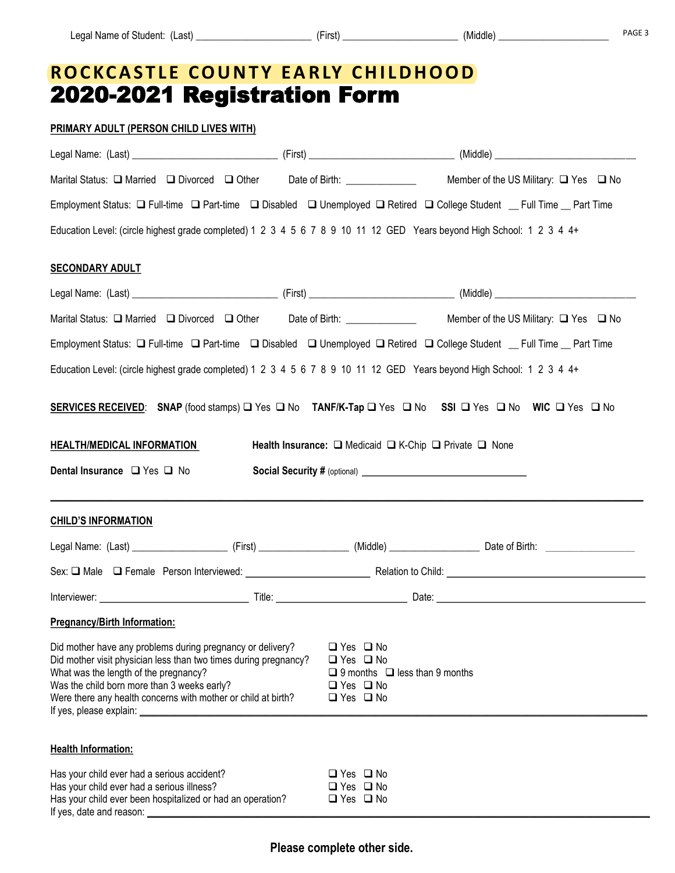## **R O C KC A S T L E C O U N T Y E A R LY C H I L D H O O D** 2020-2021 Registration Form

## **PRIMARY ADULT (PERSON CHILD LIVES WITH)**

| Marital Status: □ Married □ Divorced □ Other Date of Birth: ____________                                                                                                                                                                                                                |                                                                                                                                           | Member of the US Military: $\Box$ Yes $\Box$ No                                                                                                                                                                       |
|-----------------------------------------------------------------------------------------------------------------------------------------------------------------------------------------------------------------------------------------------------------------------------------------|-------------------------------------------------------------------------------------------------------------------------------------------|-----------------------------------------------------------------------------------------------------------------------------------------------------------------------------------------------------------------------|
|                                                                                                                                                                                                                                                                                         |                                                                                                                                           | Employment Status: □ Full-time □ Part-time □ Disabled □ Unemployed □ Retired □ College Student _ Full Time _ Part Time                                                                                                |
|                                                                                                                                                                                                                                                                                         |                                                                                                                                           | Education Level: (circle highest grade completed) 1 2 3 4 5 6 7 8 9 10 11 12 GED Years beyond High School: 1 2 3 4 4+                                                                                                 |
| <b>SECONDARY ADULT</b>                                                                                                                                                                                                                                                                  |                                                                                                                                           |                                                                                                                                                                                                                       |
|                                                                                                                                                                                                                                                                                         |                                                                                                                                           |                                                                                                                                                                                                                       |
|                                                                                                                                                                                                                                                                                         |                                                                                                                                           | Marital Status: Narried No Divorced Nother Date of Birth: Member of the US Military: Nes No                                                                                                                           |
|                                                                                                                                                                                                                                                                                         |                                                                                                                                           | Employment Status: □ Full-time □ Part-time □ Disabled □ Unemployed □ Retired □ College Student _ Full Time _ Part Time                                                                                                |
|                                                                                                                                                                                                                                                                                         |                                                                                                                                           | Education Level: (circle highest grade completed) 1 2 3 4 5 6 7 8 9 10 11 12 GED Years beyond High School: 1 2 3 4 4+                                                                                                 |
|                                                                                                                                                                                                                                                                                         |                                                                                                                                           |                                                                                                                                                                                                                       |
|                                                                                                                                                                                                                                                                                         |                                                                                                                                           | SERVICES RECEIVED: SNAP (food stamps) O Yes O No TANF/K-Tap O Yes O No SSI O Yes O No WIC O Yes O No                                                                                                                  |
| <b>HEALTH/MEDICAL INFORMATION</b>                                                                                                                                                                                                                                                       |                                                                                                                                           | Health Insurance: □ Medicaid □ K-Chip □ Private □ None                                                                                                                                                                |
| Dental Insurance □ Yes □ No                                                                                                                                                                                                                                                             |                                                                                                                                           |                                                                                                                                                                                                                       |
|                                                                                                                                                                                                                                                                                         |                                                                                                                                           |                                                                                                                                                                                                                       |
| <b>CHILD'S INFORMATION</b>                                                                                                                                                                                                                                                              |                                                                                                                                           |                                                                                                                                                                                                                       |
|                                                                                                                                                                                                                                                                                         |                                                                                                                                           |                                                                                                                                                                                                                       |
|                                                                                                                                                                                                                                                                                         |                                                                                                                                           | Sex: <a>&gt; Ca<br/> Male<br/> Cal Female Person Interviewed: <a> Cal Female Person Interviewed:</a> Cal Female Person Interviewed:</a> Cal Cal Female Person Interviewed: Cal Cal Cal Cal Child: Cal Child: Cal Chil |
|                                                                                                                                                                                                                                                                                         |                                                                                                                                           | Interviewer: 1000 million and 1000 million and 1000 million and 1000 million and 1000 million and 1000 million                                                                                                        |
| <b>Pregnancy/Birth Information:</b>                                                                                                                                                                                                                                                     |                                                                                                                                           |                                                                                                                                                                                                                       |
| Did mother have any problems during pregnancy or delivery?<br>Did mother visit physician less than two times during pregnancy?<br>What was the length of the pregnancy?<br>Was the child born more than 3 weeks early?<br>Were there any health concerns with mother or child at birth? | $\Box$ Yes $\Box$ No<br>$\Box$ Yes $\Box$ No<br>$\Box$ 9 months $\Box$ less than 9 months<br>$\Box$ Yes $\Box$ No<br>$\Box$ Yes $\Box$ No |                                                                                                                                                                                                                       |
|                                                                                                                                                                                                                                                                                         |                                                                                                                                           |                                                                                                                                                                                                                       |
| <b>Health Information:</b>                                                                                                                                                                                                                                                              |                                                                                                                                           |                                                                                                                                                                                                                       |